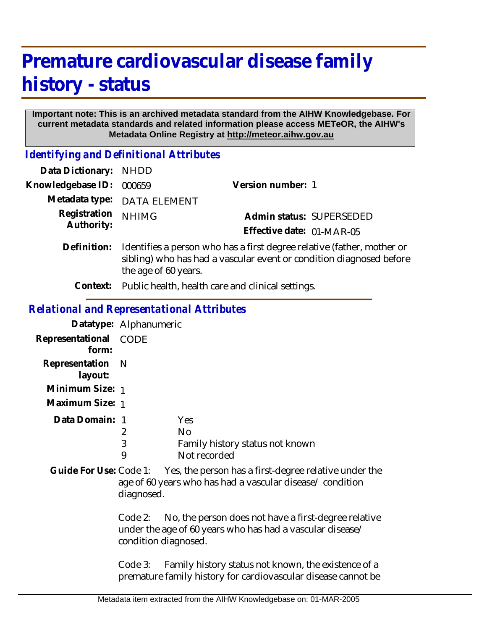# **Premature cardiovascular disease family history - status**

#### **Important note: This is an archived metadata standard from the AIHW Knowledgebase. For current metadata standards and related information please access METeOR, the AIHW's Metadata Online Registry at http://meteor.aihw.gov.au**

*Identifying and Definitional Attributes*

| Data Dictionary: NHDD      |                                                                                                                                                                       |                           |  |
|----------------------------|-----------------------------------------------------------------------------------------------------------------------------------------------------------------------|---------------------------|--|
| Knowledgebase ID:          | 000659                                                                                                                                                                | Version number: 1         |  |
|                            | Metadata type: DATA ELEMENT                                                                                                                                           |                           |  |
| Registration<br>Authority: | <b>NHIMG</b>                                                                                                                                                          | Admin status: SUPERSEDED  |  |
|                            |                                                                                                                                                                       | Effective date: 01-MAR-05 |  |
| Definition:                | Identifies a person who has a first degree relative (father, mother or<br>sibling) who has had a vascular event or condition diagnosed before<br>the age of 60 years. |                           |  |

**Context:** Public health, health care and clinical settings.

# *Relational and Representational Attributes*

|                                | Datatype: Alphanumeric |                                                                     |  |
|--------------------------------|------------------------|---------------------------------------------------------------------|--|
| Representational CODE<br>form: |                        |                                                                     |  |
| Representation N<br>layout:    |                        |                                                                     |  |
| Minimum Size: 1                |                        |                                                                     |  |
| Maximum Size: 1                |                        |                                                                     |  |
| Data Domain: 1                 | 2<br>3<br>9            | Yes<br><b>No</b><br>Family history status not known<br>Not recorded |  |
|                                |                        |                                                                     |  |

Yes, the person has a first-degree relative under the age of 60 years who has had a vascular disease/ condition diagnosed. **Guide For Use:**

> Code 2: No, the person does not have a first-degree relative under the age of 60 years who has had a vascular disease/ condition diagnosed.

> Code 3: Family history status not known, the existence of a premature family history for cardiovascular disease cannot be